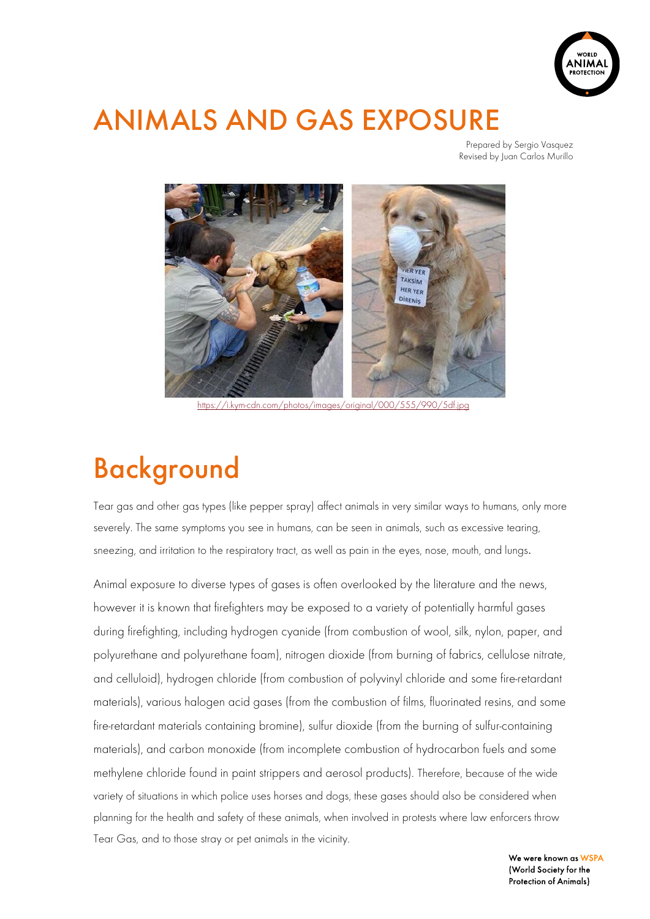

### ANIMALS AND GAS EXPOSURE

Prepared by Sergio Vasquez Revised by Juan Carlos Murillo



https://i.kym-cdn.com/photos/images/original/000/555/990/5df.jpg

# Background

Tear gas and other gas types (like pepper spray) affect animals in very similar ways to humans, only more severely. The same symptoms you see in humans, can be seen in animals, such as excessive tearing, sneezing, and irritation to the respiratory tract, as well as pain in the eyes, nose, mouth, and lungs.

Animal exposure to diverse types of gases is often overlooked by the literature and the news, however it is known that firefighters may be exposed to a variety of potentially harmful gases during firefighting, including hydrogen cyanide (from combustion of wool, silk, nylon, paper, and polyurethane and polyurethane foam), nitrogen dioxide (from burning of fabrics, cellulose nitrate, and celluloid), hydrogen chloride (from combustion of polyvinyl chloride and some fire-retardant materials), various halogen acid gases (from the combustion of films, fluorinated resins, and some fire-retardant materials containing bromine), sulfur dioxide (from the burning of sulfur-containing materials), and carbon monoxide (from incomplete combustion of hydrocarbon fuels and some methylene chloride found in paint strippers and aerosol products). Therefore, because of the wide variety of situations in which police uses horses and dogs, these gases should also be considered when planning for the health and safety of these animals, when involved in protests where law enforcers throw Tear Gas, and to those stray or pet animals in the vicinity.

> We were known as WSPA (World Society for the Protection of Animals)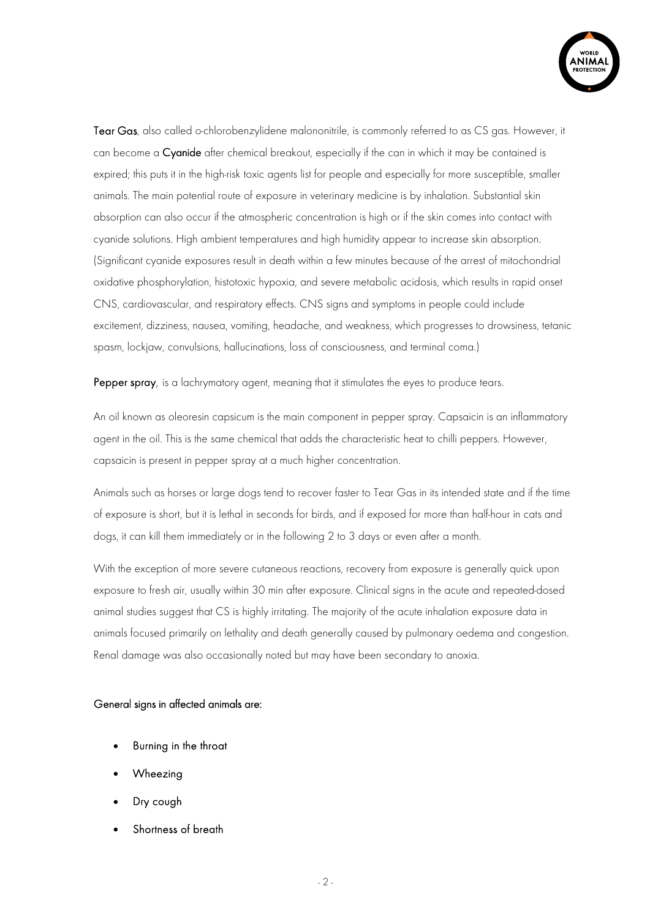

Tear Gas, also called o-chlorobenzylidene malononitrile, is commonly referred to as CS gas. However, it can become a Cyanide after chemical breakout, especially if the can in which it may be contained is expired; this puts it in the high-risk toxic agents list for people and especially for more susceptible, smaller animals. The main potential route of exposure in veterinary medicine is by inhalation. Substantial skin absorption can also occur if the atmospheric concentration is high or if the skin comes into contact with cyanide solutions. High ambient temperatures and high humidity appear to increase skin absorption. (Significant cyanide exposures result in death within a few minutes because of the arrest of mitochondrial oxidative phosphorylation, histotoxic hypoxia, and severe metabolic acidosis, which results in rapid onset CNS, cardiovascular, and respiratory effects. CNS signs and symptoms in people could include excitement, dizziness, nausea, vomiting, headache, and weakness, which progresses to drowsiness, tetanic spasm, lockjaw, convulsions, hallucinations, loss of consciousness, and terminal coma.)

Pepper spray, is a lachrymatory agent, meaning that it stimulates the eyes to produce tears.

An oil known as oleoresin capsicum is the main component in pepper spray. Capsaicin is an inflammatory agent in the oil. This is the same chemical that adds the characteristic heat to chilli peppers. However, capsaicin is present in pepper spray at a much higher concentration.

Animals such as horses or large dogs tend to recover faster to Tear Gas in its intended state and if the time of exposure is short, but it is lethal in seconds for birds, and if exposed for more than half-hour in cats and dogs, it can kill them immediately or in the following 2 to 3 days or even after a month.

With the exception of more severe cutaneous reactions, recovery from exposure is generally quick upon exposure to fresh air, usually within 30 min after exposure. Clinical signs in the acute and repeated-dosed animal studies suggest that CS is highly irritating. The majority of the acute inhalation exposure data in animals focused primarily on lethality and death generally caused by pulmonary oedema and congestion. Renal damage was also occasionally noted but may have been secondary to anoxia.

#### General signs in affected animals are:

- Burning in the throat
- Wheezing
- Dry cough
- Shortness of breath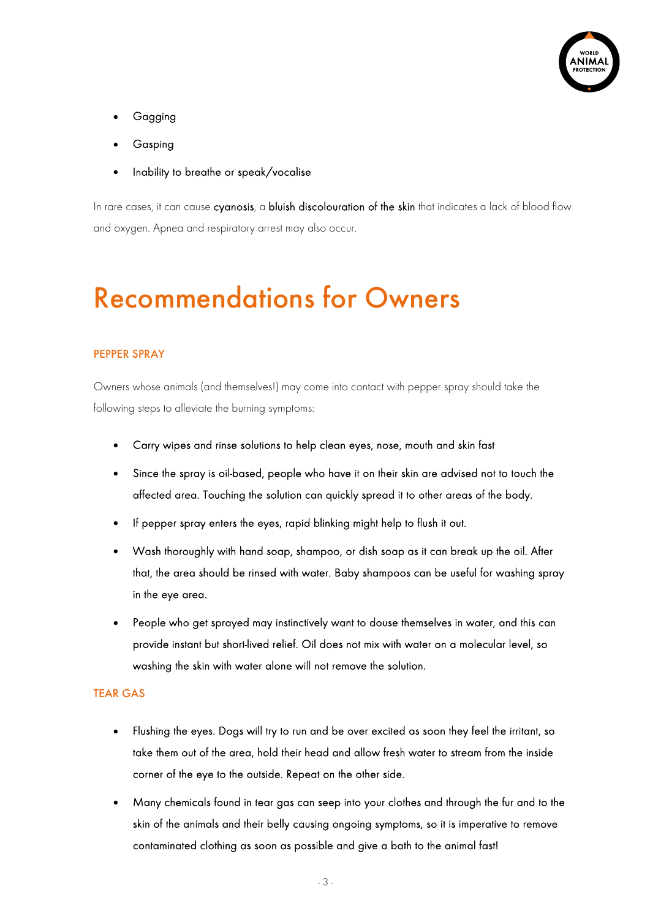

- **Gagging**
- Gasping
- Inability to breathe or speak/vocalise

In rare cases, it can cause cyanosis, a bluish discolouration of the skin that indicates a lack of blood flow and oxygen. Apnea and respiratory arrest may also occur.

### Recommendations for Owners

### PEPPER SPRAY

Owners whose animals (and themselves!) may come into contact with pepper spray should take the following steps to alleviate the burning symptoms:

- Carry wipes and rinse solutions to help clean eyes, nose, mouth and skin fast
- Since the spray is oil-based, people who have it on their skin are advised not to touch the affected area. Touching the solution can quickly spread it to other areas of the body.
- If pepper spray enters the eyes, rapid blinking might help to flush it out.
- Wash thoroughly with hand soap, shampoo, or dish soap as it can break up the oil. After that, the area should be rinsed with water. Baby shampoos can be useful for washing spray in the eye area.
- People who get sprayed may instinctively want to douse themselves in water, and this can provide instant but short-lived relief. Oil does not mix with water on a molecular level, so washing the skin with water alone will not remove the solution.

#### TEAR GAS

- Flushing the eyes. Dogs will try to run and be over excited as soon they feel the irritant, so take them out of the area, hold their head and allow fresh water to stream from the inside corner of the eye to the outside. Repeat on the other side.
- Many chemicals found in tear gas can seep into your clothes and through the fur and to the skin of the animals and their belly causing ongoing symptoms, so it is imperative to remove contaminated clothing as soon as possible and give a bath to the animal fast!